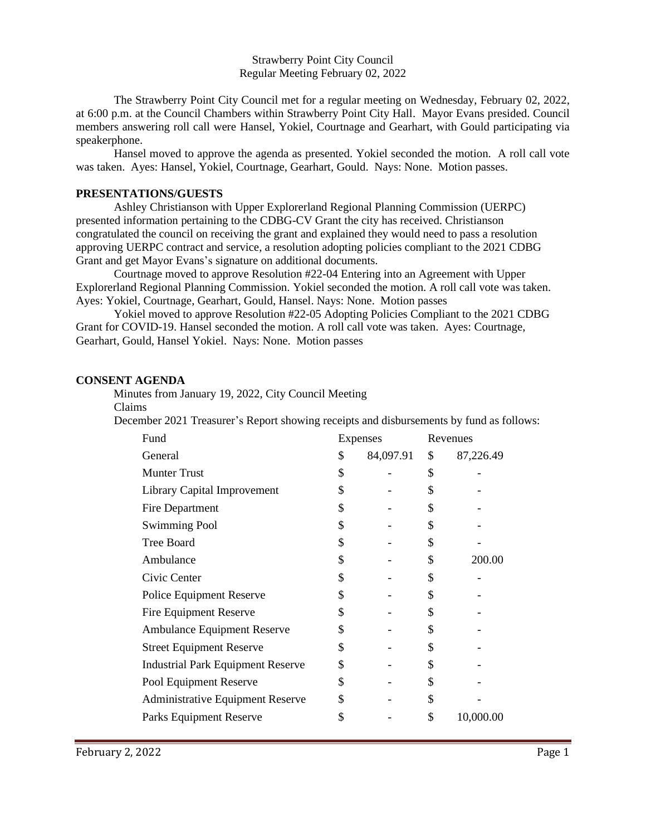Strawberry Point City Council Regular Meeting February 02, 2022

The Strawberry Point City Council met for a regular meeting on Wednesday, February 02, 2022, at 6:00 p.m. at the Council Chambers within Strawberry Point City Hall. Mayor Evans presided. Council members answering roll call were Hansel, Yokiel, Courtnage and Gearhart, with Gould participating via speakerphone.

Hansel moved to approve the agenda as presented. Yokiel seconded the motion. A roll call vote was taken. Ayes: Hansel, Yokiel, Courtnage, Gearhart, Gould. Nays: None. Motion passes.

## **PRESENTATIONS/GUESTS**

Ashley Christianson with Upper Explorerland Regional Planning Commission (UERPC) presented information pertaining to the CDBG-CV Grant the city has received. Christianson congratulated the council on receiving the grant and explained they would need to pass a resolution approving UERPC contract and service, a resolution adopting policies compliant to the 2021 CDBG Grant and get Mayor Evans's signature on additional documents.

Courtnage moved to approve Resolution #22-04 Entering into an Agreement with Upper Explorerland Regional Planning Commission. Yokiel seconded the motion. A roll call vote was taken. Ayes: Yokiel, Courtnage, Gearhart, Gould, Hansel. Nays: None. Motion passes

Yokiel moved to approve Resolution #22-05 Adopting Policies Compliant to the 2021 CDBG Grant for COVID-19. Hansel seconded the motion. A roll call vote was taken. Ayes: Courtnage, Gearhart, Gould, Hansel Yokiel. Nays: None. Motion passes

## **CONSENT AGENDA**

Minutes from January 19, 2022, City Council Meeting

Claims

December 2021 Treasurer's Report showing receipts and disbursements by fund as follows:

| Fund                                     | Expenses |           | Revenues |           |
|------------------------------------------|----------|-----------|----------|-----------|
| General                                  | \$       | 84,097.91 | \$       | 87,226.49 |
| <b>Munter Trust</b>                      | \$       |           | \$       |           |
| Library Capital Improvement              | \$       |           | \$       |           |
| Fire Department                          | \$       |           | \$       |           |
| <b>Swimming Pool</b>                     | \$       |           | \$       |           |
| <b>Tree Board</b>                        | \$       |           | \$       |           |
| Ambulance                                | \$       |           | \$       | 200.00    |
| Civic Center                             | \$       |           | \$       |           |
| Police Equipment Reserve                 | \$       |           | \$       |           |
| <b>Fire Equipment Reserve</b>            | \$       |           | \$       |           |
| Ambulance Equipment Reserve              | \$       |           | \$       |           |
| <b>Street Equipment Reserve</b>          | \$       |           | \$       |           |
| <b>Industrial Park Equipment Reserve</b> | \$       |           | \$       |           |
| Pool Equipment Reserve                   | \$       |           | \$       |           |
| <b>Administrative Equipment Reserve</b>  | \$       |           | \$       |           |
| Parks Equipment Reserve                  | \$       |           | \$       | 10,000.00 |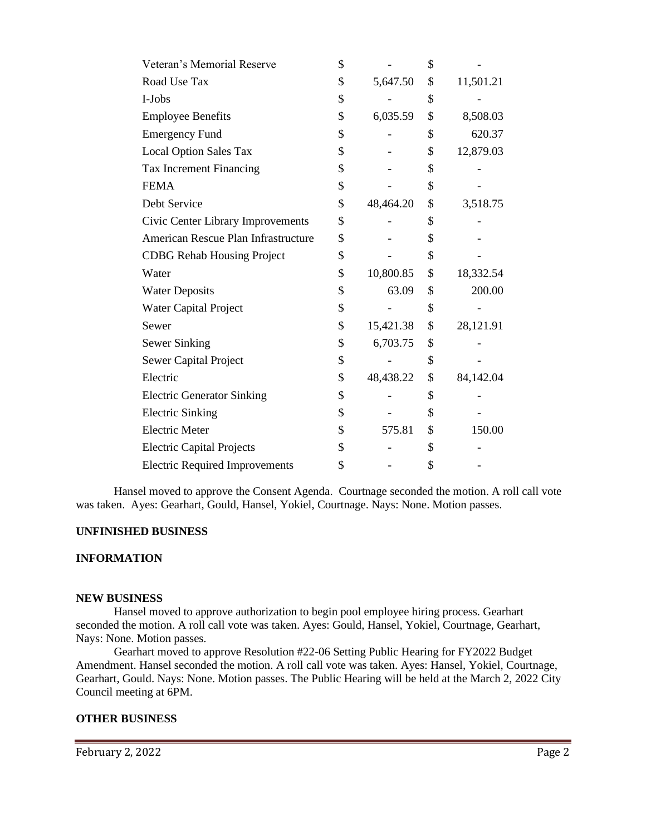| Veteran's Memorial Reserve            | \$              | \$              |
|---------------------------------------|-----------------|-----------------|
| Road Use Tax                          | \$<br>5,647.50  | \$<br>11,501.21 |
| I-Jobs                                | \$              | \$              |
| <b>Employee Benefits</b>              | \$<br>6,035.59  | \$<br>8,508.03  |
| <b>Emergency Fund</b>                 | \$              | \$<br>620.37    |
| <b>Local Option Sales Tax</b>         | \$              | \$<br>12,879.03 |
| Tax Increment Financing               | \$              | \$              |
| <b>FEMA</b>                           | \$              | \$              |
| Debt Service                          | \$<br>48,464.20 | \$<br>3,518.75  |
| Civic Center Library Improvements     | \$              | \$              |
| American Rescue Plan Infrastructure   | \$              | \$              |
| <b>CDBG Rehab Housing Project</b>     | \$              | \$              |
| Water                                 | \$<br>10,800.85 | \$<br>18,332.54 |
| <b>Water Deposits</b>                 | \$<br>63.09     | \$<br>200.00    |
| <b>Water Capital Project</b>          | \$              | \$              |
| Sewer                                 | \$<br>15,421.38 | \$<br>28,121.91 |
| Sewer Sinking                         | \$<br>6,703.75  | \$              |
| <b>Sewer Capital Project</b>          | \$              | \$              |
| Electric                              | \$<br>48,438.22 | \$<br>84,142.04 |
| <b>Electric Generator Sinking</b>     | \$              | \$              |
| <b>Electric Sinking</b>               | \$              | \$              |
| <b>Electric Meter</b>                 | \$<br>575.81    | \$<br>150.00    |
| <b>Electric Capital Projects</b>      | \$              | \$              |
| <b>Electric Required Improvements</b> | \$              | \$              |

Hansel moved to approve the Consent Agenda. Courtnage seconded the motion. A roll call vote was taken. Ayes: Gearhart, Gould, Hansel, Yokiel, Courtnage. Nays: None. Motion passes.

## **UNFINISHED BUSINESS**

# **INFORMATION**

### **NEW BUSINESS**

Hansel moved to approve authorization to begin pool employee hiring process. Gearhart seconded the motion. A roll call vote was taken. Ayes: Gould, Hansel, Yokiel, Courtnage, Gearhart, Nays: None. Motion passes.

Gearhart moved to approve Resolution #22-06 Setting Public Hearing for FY2022 Budget Amendment. Hansel seconded the motion. A roll call vote was taken. Ayes: Hansel, Yokiel, Courtnage, Gearhart, Gould. Nays: None. Motion passes. The Public Hearing will be held at the March 2, 2022 City Council meeting at 6PM.

### **OTHER BUSINESS**